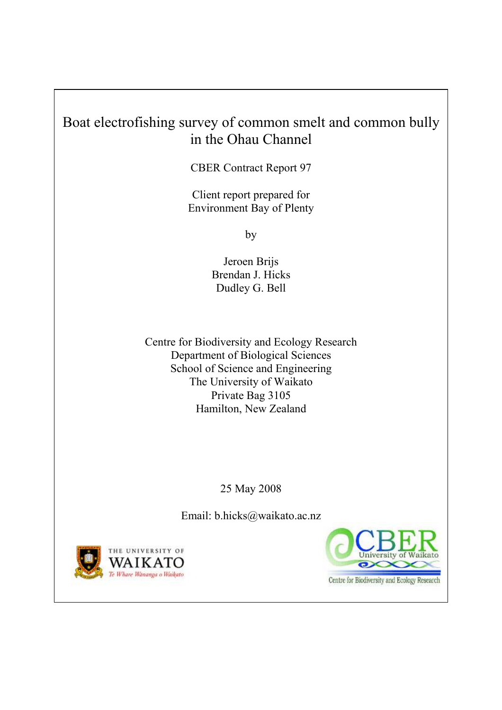# Boat electrofishing survey of common smelt and common bully in the Ohau Channel

CBER Contract Report 97

Client report prepared for Environment Bay of Plenty

by

Jeroen Brijs Brendan J. Hicks Dudley G. Bell

Centre for Biodiversity and Ecology Research Department of Biological Sciences School of Science and Engineering The University of Waikato Private Bag 3105 Hamilton, New Zealand

25 May 2008

Email: b.hicks@waikato.ac.nz





Centre for Biodiversity and Ecology Research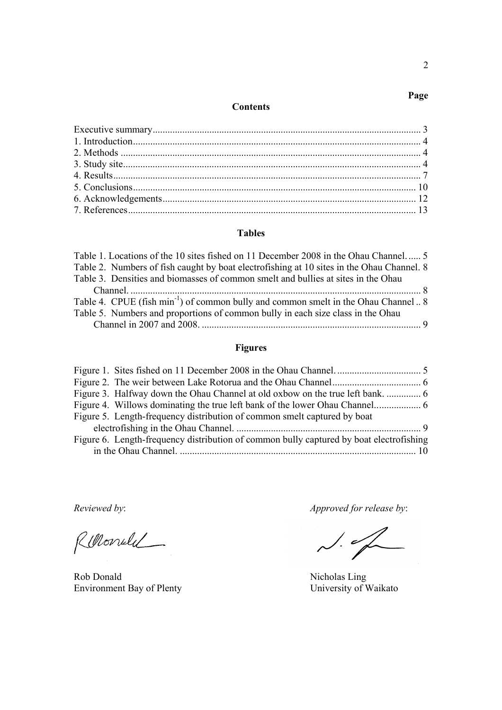#### **Contents**

#### **Tables**

#### **Figures**

| Figure 5. Length-frequency distribution of common smelt captured by boat                |  |
|-----------------------------------------------------------------------------------------|--|
|                                                                                         |  |
| Figure 6. Length-frequency distribution of common bully captured by boat electrofishing |  |
|                                                                                         |  |

Renondel

Rob Donald<br>
Environment Bay of Plenty<br>
University of Waikato Environment Bay of Plenty

*Reviewed by*: *Approved for release by*:

 $\sim$ 

**Page**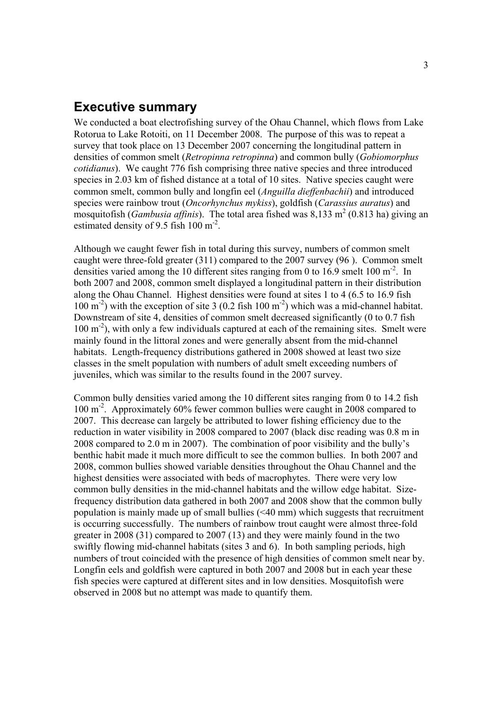#### **Executive summary**

We conducted a boat electrofishing survey of the Ohau Channel, which flows from Lake Rotorua to Lake Rotoiti, on 11 December 2008. The purpose of this was to repeat a survey that took place on 13 December 2007 concerning the longitudinal pattern in densities of common smelt (*Retropinna retropinna*) and common bully (*Gobiomorphus cotidianus*). We caught 776 fish comprising three native species and three introduced species in 2.03 km of fished distance at a total of 10 sites. Native species caught were common smelt, common bully and longfin eel (*Anguilla dieffenbachii*) and introduced species were rainbow trout (*Oncorhynchus mykiss*), goldfish (*Carassius auratus*) and mosquitofish (*Gambusia affinis*). The total area fished was 8,133 m<sup>2</sup> (0.813 ha) giving an estimated density of 9.5 fish  $100 \text{ m}^2$ .

Although we caught fewer fish in total during this survey, numbers of common smelt caught were three-fold greater (311) compared to the 2007 survey (96 ). Common smelt densities varied among the 10 different sites ranging from 0 to 16.9 smelt 100  $m<sup>2</sup>$ . In both 2007 and 2008, common smelt displayed a longitudinal pattern in their distribution along the Ohau Channel. Highest densities were found at sites 1 to 4 (6.5 to 16.9 fish  $100 \text{ m}^2$ ) with the exception of site 3 (0.2 fish  $100 \text{ m}^2$ ) which was a mid-channel habitat. Downstream of site 4, densities of common smelt decreased significantly (0 to 0.7 fish  $100 \text{ m}^{-2}$ ), with only a few individuals captured at each of the remaining sites. Smelt were mainly found in the littoral zones and were generally absent from the mid-channel habitats. Length-frequency distributions gathered in 2008 showed at least two size classes in the smelt population with numbers of adult smelt exceeding numbers of juveniles, which was similar to the results found in the 2007 survey.

Common bully densities varied among the 10 different sites ranging from 0 to 14.2 fish 100 m-2. Approximately 60% fewer common bullies were caught in 2008 compared to 2007. This decrease can largely be attributed to lower fishing efficiency due to the reduction in water visibility in 2008 compared to 2007 (black disc reading was 0.8 m in 2008 compared to 2.0 m in 2007). The combination of poor visibility and the bully's benthic habit made it much more difficult to see the common bullies. In both 2007 and 2008, common bullies showed variable densities throughout the Ohau Channel and the highest densities were associated with beds of macrophytes. There were very low common bully densities in the mid-channel habitats and the willow edge habitat. Sizefrequency distribution data gathered in both 2007 and 2008 show that the common bully population is mainly made up of small bullies  $( $40 \text{ mm}$ )$  which suggests that recruitment is occurring successfully. The numbers of rainbow trout caught were almost three-fold greater in 2008 (31) compared to 2007 (13) and they were mainly found in the two swiftly flowing mid-channel habitats (sites 3 and 6). In both sampling periods, high numbers of trout coincided with the presence of high densities of common smelt near by. Longfin eels and goldfish were captured in both 2007 and 2008 but in each year these fish species were captured at different sites and in low densities. Mosquitofish were observed in 2008 but no attempt was made to quantify them.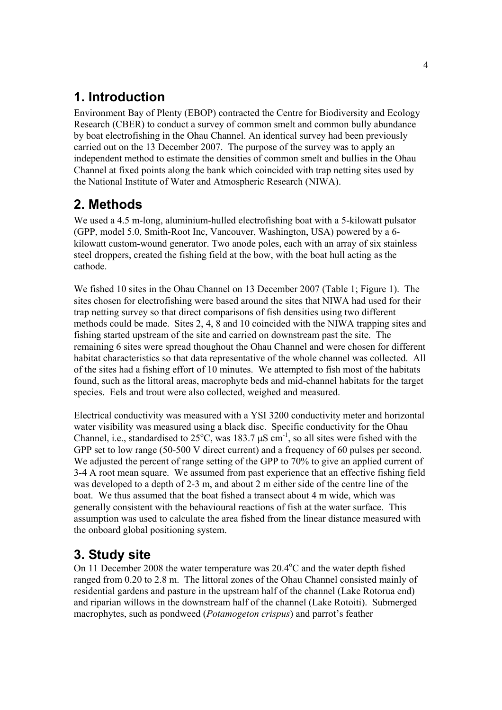## **1. Introduction**

Environment Bay of Plenty (EBOP) contracted the Centre for Biodiversity and Ecology Research (CBER) to conduct a survey of common smelt and common bully abundance by boat electrofishing in the Ohau Channel. An identical survey had been previously carried out on the 13 December 2007. The purpose of the survey was to apply an independent method to estimate the densities of common smelt and bullies in the Ohau Channel at fixed points along the bank which coincided with trap netting sites used by the National Institute of Water and Atmospheric Research (NIWA).

# **2. Methods**

We used a 4.5 m-long, aluminium-hulled electrofishing boat with a 5-kilowatt pulsator (GPP, model 5.0, Smith-Root Inc, Vancouver, Washington, USA) powered by a 6 kilowatt custom-wound generator. Two anode poles, each with an array of six stainless steel droppers, created the fishing field at the bow, with the boat hull acting as the cathode.

We fished 10 sites in the Ohau Channel on 13 December 2007 (Table 1; Figure 1). The sites chosen for electrofishing were based around the sites that NIWA had used for their trap netting survey so that direct comparisons of fish densities using two different methods could be made. Sites 2, 4, 8 and 10 coincided with the NIWA trapping sites and fishing started upstream of the site and carried on downstream past the site. The remaining 6 sites were spread thoughout the Ohau Channel and were chosen for different habitat characteristics so that data representative of the whole channel was collected. All of the sites had a fishing effort of 10 minutes. We attempted to fish most of the habitats found, such as the littoral areas, macrophyte beds and mid-channel habitats for the target species. Eels and trout were also collected, weighed and measured.

Electrical conductivity was measured with a YSI 3200 conductivity meter and horizontal water visibility was measured using a black disc. Specific conductivity for the Ohau Channel, i.e., standardised to  $25^{\circ}$ C, was 183.7  $\mu$ S cm<sup>-1</sup>, so all sites were fished with the GPP set to low range (50-500 V direct current) and a frequency of 60 pulses per second. We adjusted the percent of range setting of the GPP to 70% to give an applied current of 3-4 A root mean square. We assumed from past experience that an effective fishing field was developed to a depth of 2-3 m, and about 2 m either side of the centre line of the boat. We thus assumed that the boat fished a transect about 4 m wide, which was generally consistent with the behavioural reactions of fish at the water surface. This assumption was used to calculate the area fished from the linear distance measured with the onboard global positioning system.

## **3. Study site**

On 11 December 2008 the water temperature was 20.4°C and the water depth fished ranged from 0.20 to 2.8 m. The littoral zones of the Ohau Channel consisted mainly of residential gardens and pasture in the upstream half of the channel (Lake Rotorua end) and riparian willows in the downstream half of the channel (Lake Rotoiti). Submerged macrophytes, such as pondweed (*Potamogeton crispus*) and parrot's feather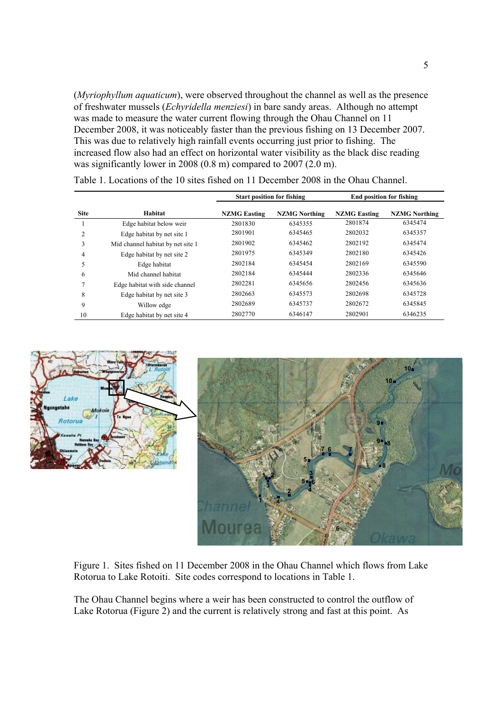(*Myriophyllum aquaticum*), were observed throughout the channel as well as the presence of freshwater mussels (*Echyridella menziesi*) in bare sandy areas. Although no attempt was made to measure the water current flowing through the Ohau Channel on 11 December 2008, it was noticeably faster than the previous fishing on 13 December 2007. This was due to relatively high rainfall events occurring just prior to fishing. The increased flow also had an effect on horizontal water visibility as the black disc reading was significantly lower in 2008 (0.8 m) compared to 2007 (2.0 m).

|             |                                   | <b>Start position for fishing</b> |                      |                     | <b>End position for fishing</b> |  |
|-------------|-----------------------------------|-----------------------------------|----------------------|---------------------|---------------------------------|--|
| <b>Site</b> | Habitat                           | <b>NZMG Easting</b>               | <b>NZMG</b> Northing | <b>NZMG Easting</b> | <b>NZMG</b> Northing            |  |
|             | Edge habitat below weir           | 2801830                           | 6345355              | 2801874             | 6345474                         |  |
| 2           | Edge habitat by net site 1        | 2801901                           | 6345465              | 2802032             | 6345357                         |  |
| 3           | Mid channel habitat by net site 1 | 2801902                           | 6345462              | 2802192             | 6345474                         |  |
| 4           | Edge habitat by net site 2        | 2801975                           | 6345349              | 2802180             | 6345426                         |  |
| 5           | Edge habitat                      | 2802184                           | 6345454              | 2802169             | 6345590                         |  |
| 6           | Mid channel habitat               | 2802184                           | 6345444              | 2802336             | 6345646                         |  |
|             | Edge habitat with side channel    | 2802281                           | 6345656              | 2802456             | 6345636                         |  |
| 8           | Edge habitat by net site 3        | 2802663                           | 6345573              | 2802698             | 6345728                         |  |
| 9           | Willow edge                       | 2802689                           | 6345737              | 2802672             | 6345845                         |  |
| 10          | Edge habitat by net site 4        | 2802770                           | 6346147              | 2802901             | 6346235                         |  |

|--|



Figure 1. Sites fished on 11 December 2008 in the Ohau Channel which flows from Lake Rotorua to Lake Rotoiti. Site codes correspond to locations in Table 1.

The Ohau Channel begins where a weir has been constructed to control the outflow of Lake Rotorua (Figure 2) and the current is relatively strong and fast at this point. As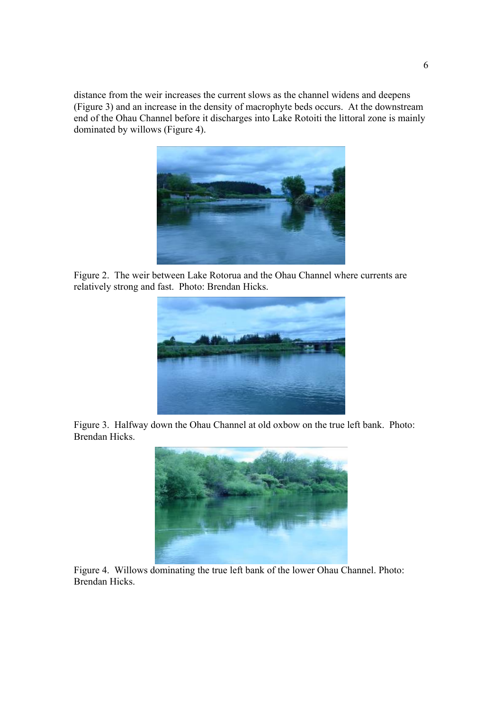distance from the weir increases the current slows as the channel widens and deepens (Figure 3) and an increase in the density of macrophyte beds occurs. At the downstream end of the Ohau Channel before it discharges into Lake Rotoiti the littoral zone is mainly dominated by willows (Figure 4).



Figure 2. The weir between Lake Rotorua and the Ohau Channel where currents are relatively strong and fast. Photo: Brendan Hicks.



Figure 3. Halfway down the Ohau Channel at old oxbow on the true left bank. Photo: Brendan Hicks.



Figure 4. Willows dominating the true left bank of the lower Ohau Channel. Photo: Brendan Hicks.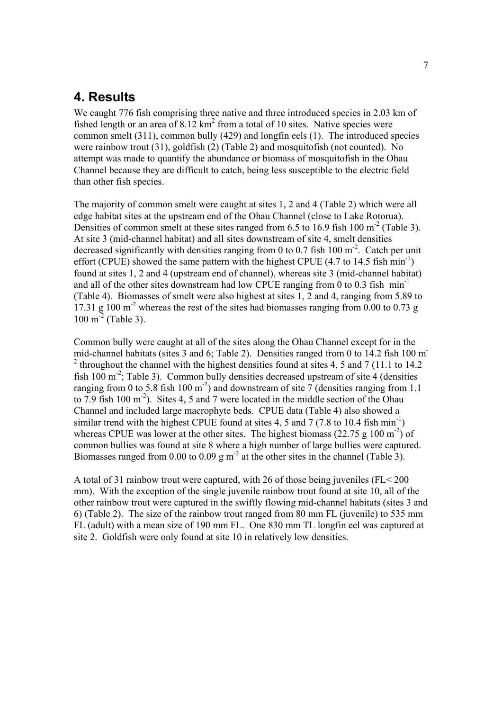## **4. Results**

We caught 776 fish comprising three native and three introduced species in 2.03 km of fished length or an area of  $8.12 \text{ km}^2$  from a total of 10 sites. Native species were common smelt (311), common bully (429) and longfin eels (1). The introduced species were rainbow trout (31), goldfish (2) (Table 2) and mosquitofish (not counted). No attempt was made to quantify the abundance or biomass of mosquitofish in the Ohau Channel because they are difficult to catch, being less susceptible to the electric field than other fish species.

The majority of common smelt were caught at sites 1, 2 and 4 (Table 2) which were all edge habitat sites at the upstream end of the Ohau Channel (close to Lake Rotorua). Densities of common smelt at these sites ranged from  $6.5$  to  $16.9$  fish  $100 \text{ m}^2$  (Table 3). At site 3 (mid-channel habitat) and all sites downstream of site 4, smelt densities decreased significantly with densities ranging from 0 to 0.7 fish 100  $m<sup>2</sup>$ . Catch per unit effort (CPUE) showed the same pattern with the highest CPUE  $(4.7 \text{ to } 14.5 \text{ fish min}^{-1})$ found at sites 1, 2 and 4 (upstream end of channel), whereas site 3 (mid-channel habitat) and all of the other sites downstream had low CPUE ranging from 0 to 0.3 fish  $min^{-1}$ (Table 4). Biomasses of smelt were also highest at sites 1, 2 and 4, ranging from 5.89 to 17.31 g  $100 \text{ m}^2$  whereas the rest of the sites had biomasses ranging from 0.00 to 0.73 g  $100 \text{ m}^2$  (Table 3).

Common bully were caught at all of the sites along the Ohau Channel except for in the mid-channel habitats (sites 3 and 6; Table 2). Densities ranged from 0 to 14.2 fish 100 m- $2$ <sup>2</sup> throughout the channel with the highest densities found at sites 4, 5 and 7 (11.1 to 14.2) fish  $100 \text{ m}^2$ ; Table 3). Common bully densities decreased upstream of site 4 (densities ranging from 0 to 5.8 fish 100 m<sup>-2</sup>) and downstream of site 7 (densities ranging from 1.1 to 7.9 fish 100  $\text{m}^2$ ). Sites 4, 5 and 7 were located in the middle section of the Ohau Channel and included large macrophyte beds. CPUE data (Table 4) also showed a similar trend with the highest CPUE found at sites 4, 5 and 7 (7.8 to 10.4 fish min<sup>-1</sup>) whereas CPUE was lower at the other sites. The highest biomass (22.75 g 100 m<sup>-2</sup>) of common bullies was found at site 8 where a high number of large bullies were captured. Biomasses ranged from 0.00 to 0.09 g  $m<sup>2</sup>$  at the other sites in the channel (Table 3).

A total of 31 rainbow trout were captured, with 26 of those being juveniles (FL< 200 mm). With the exception of the single juvenile rainbow trout found at site 10, all of the other rainbow trout were captured in the swiftly flowing mid-channel habitats (sites 3 and 6) (Table 2). The size of the rainbow trout ranged from 80 mm FL (juvenile) to 535 mm FL (adult) with a mean size of 190 mm FL. One 830 mm TL longfin eel was captured at site 2. Goldfish were only found at site 10 in relatively low densities.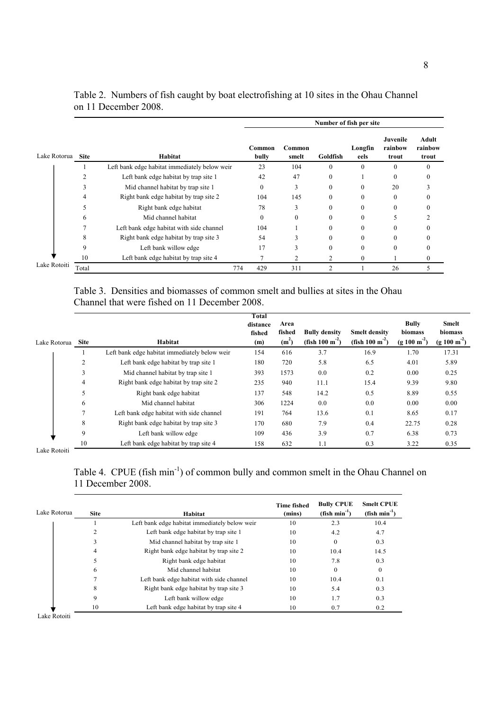|              |             |                                               | Number of fish per site |                 |          |                 |                              |                           |
|--------------|-------------|-----------------------------------------------|-------------------------|-----------------|----------|-----------------|------------------------------|---------------------------|
| Lake Rotorua | <b>Site</b> | Habitat                                       | Common<br>bully         | Common<br>smelt | Goldfish | Longfin<br>eels | Juvenile<br>rainbow<br>trout | Adult<br>rainbow<br>trout |
|              |             | Left bank edge habitat immediately below weir | 23                      | 104             | 0        | $\theta$        |                              |                           |
|              |             | Left bank edge habitat by trap site 1         | 42                      | 47              | $\theta$ |                 |                              |                           |
|              |             | Mid channel habitat by trap site 1            | $\theta$                | 3               | 0        |                 | 20                           |                           |
|              |             | Right bank edge habitat by trap site 2        | 104                     | 145             | 0        |                 |                              |                           |
|              |             | Right bank edge habitat                       | 78                      | 3               | 0        |                 |                              |                           |
|              | h           | Mid channel habitat                           | $\Omega$                | $\Omega$        | 0        |                 |                              |                           |
|              |             | Left bank edge habitat with side channel      | 104                     |                 | 0        |                 |                              |                           |
|              | 8           | Right bank edge habitat by trap site 3        | 54                      |                 | 0        |                 |                              |                           |
|              | 9           | Left bank willow edge                         | 17                      |                 | 0        |                 |                              |                           |
|              | 10          | Left bank edge habitat by trap site 4         |                         |                 | 2        | 0               |                              |                           |
| Lake Rotoiti | Total       |                                               | 774<br>429              | 311             | C        |                 | 26                           |                           |

| Table 2. Numbers of fish caught by boat electrofishing at 10 sites in the Ohau Channel |  |  |  |  |
|----------------------------------------------------------------------------------------|--|--|--|--|
| on 11 December 2008.                                                                   |  |  |  |  |

Table 3. Densities and biomasses of common smelt and bullies at sites in the Ohau Channel that were fished on 11 December 2008.

|                               |             |                                               | Total<br>distance<br>fished | Area<br>fished | <b>Bully density</b>      | <b>Smelt density</b>         | <b>Bully</b><br>biomass  | <b>Smelt</b><br>biomass |
|-------------------------------|-------------|-----------------------------------------------|-----------------------------|----------------|---------------------------|------------------------------|--------------------------|-------------------------|
| Lake Rotorua                  | <b>Site</b> | Habitat                                       | (m)                         | $(m^2)$        | (fish $100 \text{ m}^2$ ) | (fish $100 \text{ m}^{-2}$ ) | $(g 100 \text{ m}^{-2})$ | $(g 100 m-2)$           |
|                               |             | Left bank edge habitat immediately below weir | 154                         | 616            | 3.7                       | 16.9                         | 1.70                     | 17.31                   |
|                               | 2           | Left bank edge habitat by trap site 1         | 180                         | 720            | 5.8                       | 6.5                          | 4.01                     | 5.89                    |
|                               | 3           | Mid channel habitat by trap site 1            | 393                         | 1573           | 0.0                       | 0.2                          | 0.00                     | 0.25                    |
|                               | 4           | Right bank edge habitat by trap site 2        | 235                         | 940            | 11.1                      | 15.4                         | 9.39                     | 9.80                    |
|                               | 5           | Right bank edge habitat                       | 137                         | 548            | 14.2                      | 0.5                          | 8.89                     | 0.55                    |
|                               | 6           | Mid channel habitat                           | 306                         | 1224           | 0.0                       | 0.0                          | 0.00                     | 0.00                    |
|                               | Ξ           | Left bank edge habitat with side channel      | 191                         | 764            | 13.6                      | 0.1                          | 8.65                     | 0.17                    |
|                               | 8           | Right bank edge habitat by trap site 3        | 170                         | 680            | 7.9                       | 0.4                          | 22.75                    | 0.28                    |
|                               | 9           | Left bank willow edge                         | 109                         | 436            | 3.9                       | 0.7                          | 6.38                     | 0.73                    |
| $\mathbf{r}$ and $\mathbf{r}$ | 10          | Left bank edge habitat by trap site 4         | 158                         | 632            | 1.1                       | 0.3                          | 3.22                     | 0.35                    |

Lake Rotoiti

Table 4. CPUE (fish min<sup>-1</sup>) of common bully and common smelt in the Ohau Channel on 11 December 2008.

| Lake Rotorua | <b>Site</b> | Habitat                                       | <b>Time fished</b><br>(mins) | <b>Bully CPUE</b><br>$(fish min-1)$ | <b>Smelt CPUE</b><br>$(fish min-1)$ |
|--------------|-------------|-----------------------------------------------|------------------------------|-------------------------------------|-------------------------------------|
|              |             | Left bank edge habitat immediately below weir | 10                           | 2.3                                 | 10.4                                |
|              |             | Left bank edge habitat by trap site 1         | 10                           | 4.2                                 | 4.7                                 |
|              | 3           | Mid channel habitat by trap site 1            | 10                           | $\mathbf{0}$                        | 0.3                                 |
|              | 4           | Right bank edge habitat by trap site 2        | 10                           | 10.4                                | 14.5                                |
|              |             | Right bank edge habitat                       | 10                           | 7.8                                 | 0.3                                 |
|              | 6           | Mid channel habitat                           | 10                           | $\theta$                            | $\bf{0}$                            |
|              |             | Left bank edge habitat with side channel      | 10                           | 10.4                                | 0.1                                 |
|              | 8           | Right bank edge habitat by trap site 3        | 10                           | 5.4                                 | 0.3                                 |
|              | 9           | Left bank willow edge                         | 10                           | 1.7                                 | 0.3                                 |
|              | 10          | Left bank edge habitat by trap site 4         | 10                           | 0.7                                 | 0.2                                 |
| Lake Rotoiti |             |                                               |                              |                                     |                                     |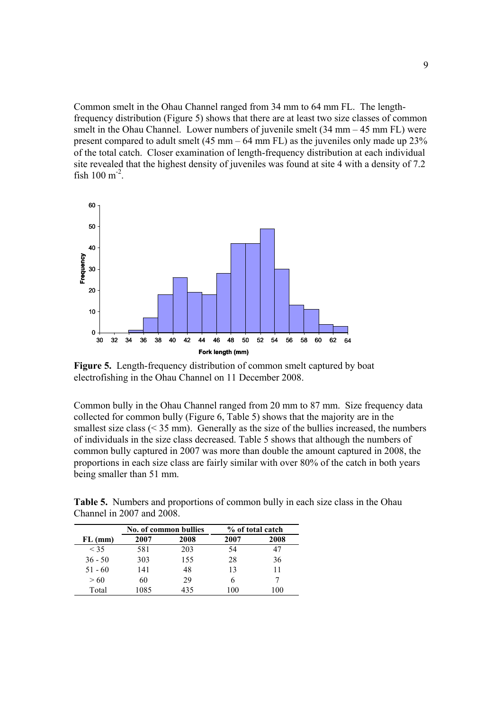Common smelt in the Ohau Channel ranged from 34 mm to 64 mm FL. The lengthfrequency distribution (Figure 5) shows that there are at least two size classes of common smelt in the Ohau Channel. Lower numbers of juvenile smelt (34 mm – 45 mm FL) were present compared to adult smelt (45 mm – 64 mm FL) as the juveniles only made up 23% of the total catch. Closer examination of length-frequency distribution at each individual site revealed that the highest density of juveniles was found at site 4 with a density of 7.2 fish  $100 \text{ m}^{-2}$ .



**Figure 5.** Length-frequency distribution of common smelt captured by boat electrofishing in the Ohau Channel on 11 December 2008.

Common bully in the Ohau Channel ranged from 20 mm to 87 mm. Size frequency data collected for common bully (Figure 6, Table 5) shows that the majority are in the smallest size class  $(< 35$  mm). Generally as the size of the bullies increased, the numbers of individuals in the size class decreased. Table 5 shows that although the numbers of common bully captured in 2007 was more than double the amount captured in 2008, the proportions in each size class are fairly similar with over 80% of the catch in both years being smaller than 51 mm.

**Table 5.** Numbers and proportions of common bully in each size class in the Ohau Channel in 2007 and 2008.

|           | No. of common bullies |      |      | % of total catch |
|-----------|-----------------------|------|------|------------------|
| $FL$ (mm) | 2007                  | 2008 | 2007 | 2008             |
| < 35      | 581                   | 203  | 54   |                  |
| $36 - 50$ | 303                   | 155  | 28   | 36               |
| $51 - 60$ | 141                   | 48   | 13   | 11               |
| > 60      | 60                    | 29   |      |                  |
| Total     | 1085                  | 435  | 100  | I ()()           |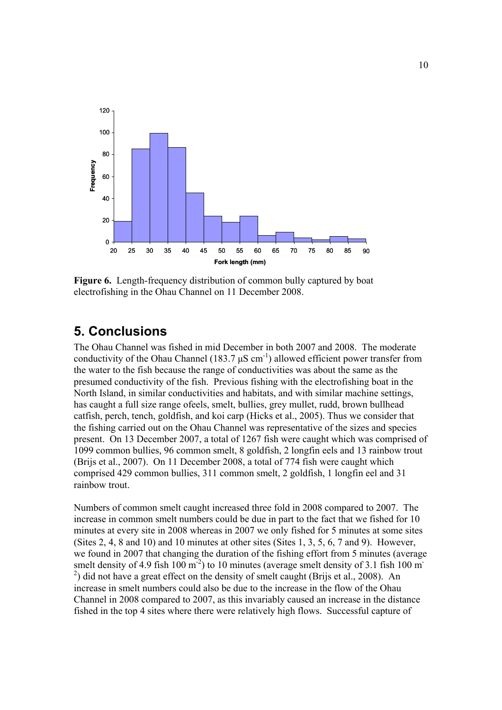

**Figure 6.** Length-frequency distribution of common bully captured by boat electrofishing in the Ohau Channel on 11 December 2008.

## **5. Conclusions**

The Ohau Channel was fished in mid December in both 2007 and 2008. The moderate conductivity of the Ohau Channel (183.7  $\mu$ S cm<sup>-1</sup>) allowed efficient power transfer from the water to the fish because the range of conductivities was about the same as the presumed conductivity of the fish. Previous fishing with the electrofishing boat in the North Island, in similar conductivities and habitats, and with similar machine settings, has caught a full size range ofeels, smelt, bullies, grey mullet, rudd, brown bullhead catfish, perch, tench, goldfish, and koi carp (Hicks et al., 2005). Thus we consider that the fishing carried out on the Ohau Channel was representative of the sizes and species present. On 13 December 2007, a total of 1267 fish were caught which was comprised of 1099 common bullies, 96 common smelt, 8 goldfish, 2 longfin eels and 13 rainbow trout (Brijs et al., 2007). On 11 December 2008, a total of 774 fish were caught which comprised 429 common bullies, 311 common smelt, 2 goldfish, 1 longfin eel and 31 rainbow trout.

Numbers of common smelt caught increased three fold in 2008 compared to 2007. The increase in common smelt numbers could be due in part to the fact that we fished for 10 minutes at every site in 2008 whereas in 2007 we only fished for 5 minutes at some sites (Sites 2, 4, 8 and 10) and 10 minutes at other sites (Sites 1, 3, 5, 6, 7 and 9). However, we found in 2007 that changing the duration of the fishing effort from 5 minutes (average smelt density of 4.9 fish  $100 \text{ m}^{-2}$ ) to 10 minutes (average smelt density of 3.1 fish 100 m  $^{2}$ ) did not have a great effect on the density of smelt caught (Brijs et al., 2008). An increase in smelt numbers could also be due to the increase in the flow of the Ohau Channel in 2008 compared to 2007, as this invariably caused an increase in the distance fished in the top 4 sites where there were relatively high flows. Successful capture of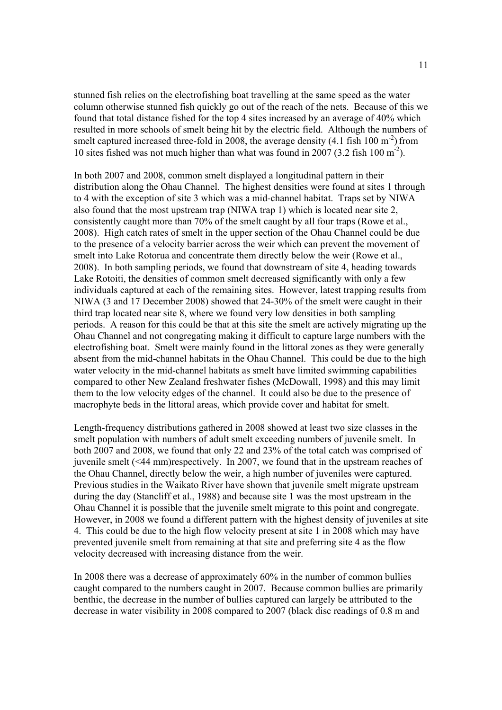stunned fish relies on the electrofishing boat travelling at the same speed as the water column otherwise stunned fish quickly go out of the reach of the nets. Because of this we found that total distance fished for the top 4 sites increased by an average of 40% which resulted in more schools of smelt being hit by the electric field. Although the numbers of smelt captured increased three-fold in 2008, the average density  $(4.1 \text{ fish } 100 \text{ m}^2)$  from 10 sites fished was not much higher than what was found in 2007 (3.2 fish 100 m-2).

In both 2007 and 2008, common smelt displayed a longitudinal pattern in their distribution along the Ohau Channel. The highest densities were found at sites 1 through to 4 with the exception of site 3 which was a mid-channel habitat. Traps set by NIWA also found that the most upstream trap (NIWA trap 1) which is located near site 2, consistently caught more than 70% of the smelt caught by all four traps (Rowe et al., 2008). High catch rates of smelt in the upper section of the Ohau Channel could be due to the presence of a velocity barrier across the weir which can prevent the movement of smelt into Lake Rotorua and concentrate them directly below the weir (Rowe et al., 2008). In both sampling periods, we found that downstream of site 4, heading towards Lake Rotoiti, the densities of common smelt decreased significantly with only a few individuals captured at each of the remaining sites. However, latest trapping results from NIWA (3 and 17 December 2008) showed that 24-30% of the smelt were caught in their third trap located near site 8, where we found very low densities in both sampling periods. A reason for this could be that at this site the smelt are actively migrating up the Ohau Channel and not congregating making it difficult to capture large numbers with the electrofishing boat. Smelt were mainly found in the littoral zones as they were generally absent from the mid-channel habitats in the Ohau Channel. This could be due to the high water velocity in the mid-channel habitats as smelt have limited swimming capabilities compared to other New Zealand freshwater fishes (McDowall, 1998) and this may limit them to the low velocity edges of the channel. It could also be due to the presence of macrophyte beds in the littoral areas, which provide cover and habitat for smelt.

Length-frequency distributions gathered in 2008 showed at least two size classes in the smelt population with numbers of adult smelt exceeding numbers of juvenile smelt. In both 2007 and 2008, we found that only 22 and 23% of the total catch was comprised of juvenile smelt (<44 mm)respectively. In 2007, we found that in the upstream reaches of the Ohau Channel, directly below the weir, a high number of juveniles were captured. Previous studies in the Waikato River have shown that juvenile smelt migrate upstream during the day (Stancliff et al., 1988) and because site 1 was the most upstream in the Ohau Channel it is possible that the juvenile smelt migrate to this point and congregate. However, in 2008 we found a different pattern with the highest density of juveniles at site 4. This could be due to the high flow velocity present at site 1 in 2008 which may have prevented juvenile smelt from remaining at that site and preferring site 4 as the flow velocity decreased with increasing distance from the weir.

In 2008 there was a decrease of approximately 60% in the number of common bullies caught compared to the numbers caught in 2007. Because common bullies are primarily benthic, the decrease in the number of bullies captured can largely be attributed to the decrease in water visibility in 2008 compared to 2007 (black disc readings of 0.8 m and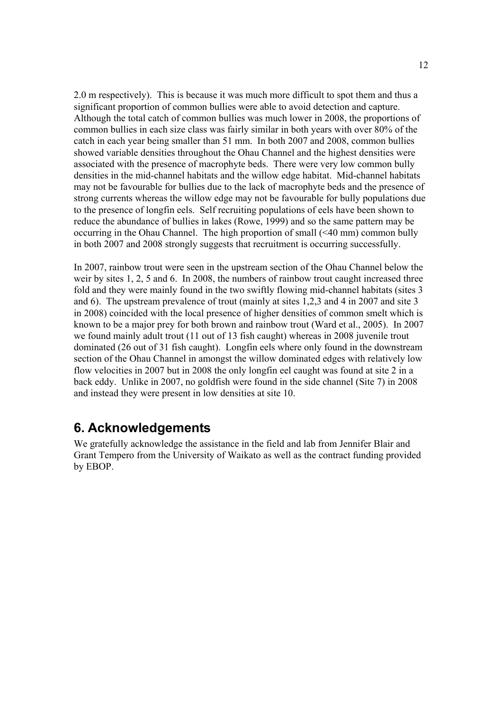2.0 m respectively). This is because it was much more difficult to spot them and thus a significant proportion of common bullies were able to avoid detection and capture. Although the total catch of common bullies was much lower in 2008, the proportions of common bullies in each size class was fairly similar in both years with over 80% of the catch in each year being smaller than 51 mm. In both 2007 and 2008, common bullies showed variable densities throughout the Ohau Channel and the highest densities were associated with the presence of macrophyte beds. There were very low common bully densities in the mid-channel habitats and the willow edge habitat. Mid-channel habitats may not be favourable for bullies due to the lack of macrophyte beds and the presence of strong currents whereas the willow edge may not be favourable for bully populations due to the presence of longfin eels. Self recruiting populations of eels have been shown to reduce the abundance of bullies in lakes (Rowe, 1999) and so the same pattern may be occurring in the Ohau Channel. The high proportion of small (<40 mm) common bully in both 2007 and 2008 strongly suggests that recruitment is occurring successfully.

In 2007, rainbow trout were seen in the upstream section of the Ohau Channel below the weir by sites 1, 2, 5 and 6. In 2008, the numbers of rainbow trout caught increased three fold and they were mainly found in the two swiftly flowing mid-channel habitats (sites 3 and 6). The upstream prevalence of trout (mainly at sites 1,2,3 and 4 in 2007 and site 3 in 2008) coincided with the local presence of higher densities of common smelt which is known to be a major prey for both brown and rainbow trout (Ward et al., 2005). In 2007 we found mainly adult trout (11 out of 13 fish caught) whereas in 2008 juvenile trout dominated (26 out of 31 fish caught). Longfin eels where only found in the downstream section of the Ohau Channel in amongst the willow dominated edges with relatively low flow velocities in 2007 but in 2008 the only longfin eel caught was found at site 2 in a back eddy. Unlike in 2007, no goldfish were found in the side channel (Site 7) in 2008 and instead they were present in low densities at site 10.

## **6. Acknowledgements**

We gratefully acknowledge the assistance in the field and lab from Jennifer Blair and Grant Tempero from the University of Waikato as well as the contract funding provided by EBOP.